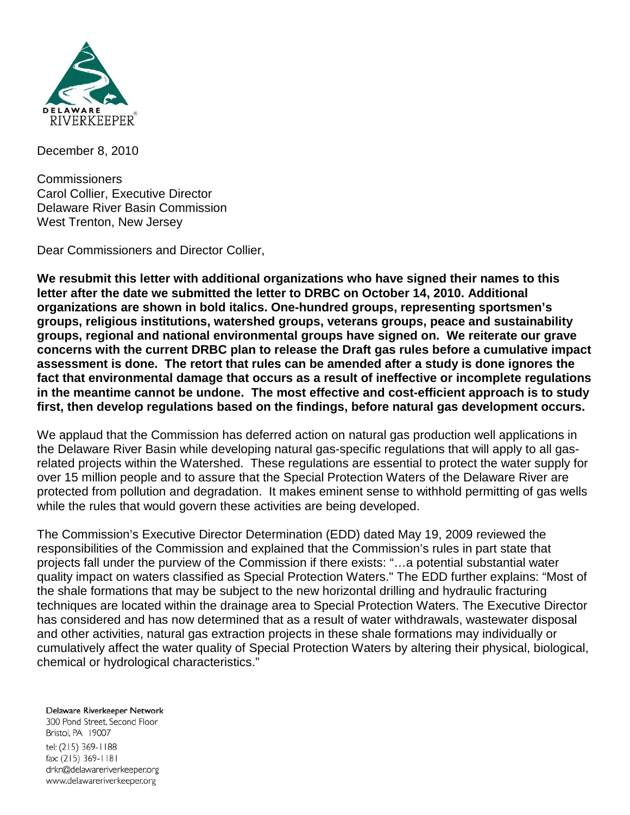

December 8, 2010

**Commissioners** Carol Collier, Executive Director Delaware River Basin Commission West Trenton, New Jersey

Dear Commissioners and Director Collier,

**We resubmit this letter with additional organizations who have signed their names to this letter after the date we submitted the letter to DRBC on October 14, 2010. Additional organizations are shown in bold italics. One-hundred groups, representing sportsmen's groups, religious institutions, watershed groups, veterans groups, peace and sustainability groups, regional and national environmental groups have signed on. We reiterate our grave concerns with the current DRBC plan to release the Draft gas rules before a cumulative impact assessment is done. The retort that rules can be amended after a study is done ignores the fact that environmental damage that occurs as a result of ineffective or incomplete regulations in the meantime cannot be undone. The most effective and cost-efficient approach is to study first, then develop regulations based on the findings, before natural gas development occurs.**

We applaud that the Commission has deferred action on natural gas production well applications in the Delaware River Basin while developing natural gas-specific regulations that will apply to all gasrelated projects within the Watershed. These regulations are essential to protect the water supply for over 15 million people and to assure that the Special Protection Waters of the Delaware River are protected from pollution and degradation. It makes eminent sense to withhold permitting of gas wells while the rules that would govern these activities are being developed.

The Commission's Executive Director Determination (EDD) dated May 19, 2009 reviewed the responsibilities of the Commission and explained that the Commission's rules in part state that projects fall under the purview of the Commission if there exists: "…a potential substantial water quality impact on waters classified as Special Protection Waters." The EDD further explains: "Most of the shale formations that may be subject to the new horizontal drilling and hydraulic fracturing techniques are located within the drainage area to Special Protection Waters. The Executive Director has considered and has now determined that as a result of water withdrawals, wastewater disposal and other activities, natural gas extraction projects in these shale formations may individually or cumulatively affect the water quality of Special Protection Waters by altering their physical, biological, chemical or hydrological characteristics."

Delaware Riverkeeper Network 300 Pond Street, Second Floor Bristol, PA 19007 tel: (215) 369-1188 fax: (215) 369-1181 drkn@delawareriverkeeper.org www.delawareriverkeeper.org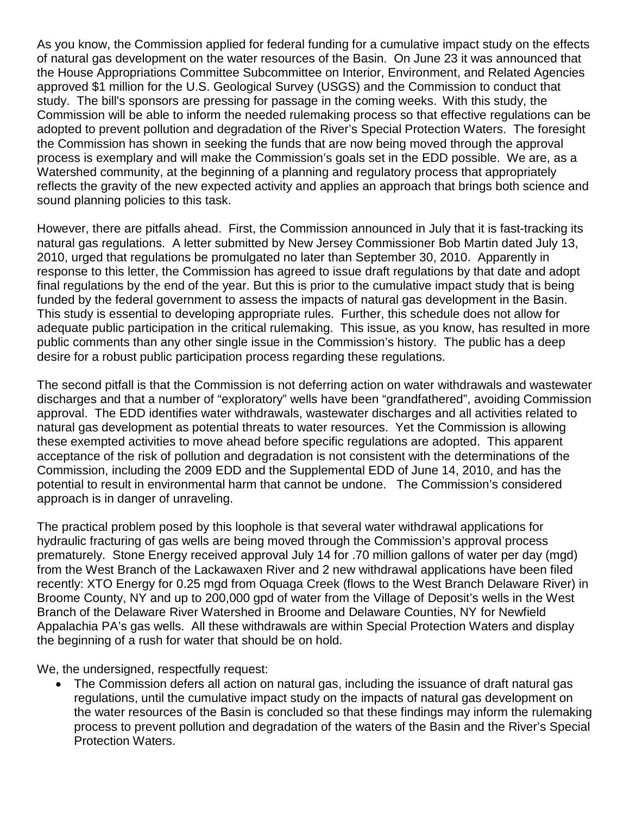As you know, the Commission applied for federal funding for a cumulative impact study on the effects of natural gas development on the water resources of the Basin. On June 23 it was announced that the House Appropriations Committee Subcommittee on Interior, Environment, and Related Agencies approved \$1 million for the U.S. Geological Survey (USGS) and the Commission to conduct that study. The bill's sponsors are pressing for passage in the coming weeks. With this study, the Commission will be able to inform the needed rulemaking process so that effective regulations can be adopted to prevent pollution and degradation of the River's Special Protection Waters. The foresight the Commission has shown in seeking the funds that are now being moved through the approval process is exemplary and will make the Commission's goals set in the EDD possible. We are, as a Watershed community, at the beginning of a planning and regulatory process that appropriately reflects the gravity of the new expected activity and applies an approach that brings both science and sound planning policies to this task.

However, there are pitfalls ahead. First, the Commission announced in July that it is fast-tracking its natural gas regulations. A letter submitted by New Jersey Commissioner Bob Martin dated July 13, 2010, urged that regulations be promulgated no later than September 30, 2010. Apparently in response to this letter, the Commission has agreed to issue draft regulations by that date and adopt final regulations by the end of the year. But this is prior to the cumulative impact study that is being funded by the federal government to assess the impacts of natural gas development in the Basin. This study is essential to developing appropriate rules. Further, this schedule does not allow for adequate public participation in the critical rulemaking. This issue, as you know, has resulted in more public comments than any other single issue in the Commission's history. The public has a deep desire for a robust public participation process regarding these regulations.

The second pitfall is that the Commission is not deferring action on water withdrawals and wastewater discharges and that a number of "exploratory" wells have been "grandfathered", avoiding Commission approval. The EDD identifies water withdrawals, wastewater discharges and all activities related to natural gas development as potential threats to water resources. Yet the Commission is allowing these exempted activities to move ahead before specific regulations are adopted. This apparent acceptance of the risk of pollution and degradation is not consistent with the determinations of the Commission, including the 2009 EDD and the Supplemental EDD of June 14, 2010, and has the potential to result in environmental harm that cannot be undone. The Commission's considered approach is in danger of unraveling.

The practical problem posed by this loophole is that several water withdrawal applications for hydraulic fracturing of gas wells are being moved through the Commission's approval process prematurely. Stone Energy received approval July 14 for .70 million gallons of water per day (mgd) from the West Branch of the Lackawaxen River and 2 new withdrawal applications have been filed recently: XTO Energy for 0.25 mgd from Oquaga Creek (flows to the West Branch Delaware River) in Broome County, NY and up to 200,000 gpd of water from the Village of Deposit's wells in the West Branch of the Delaware River Watershed in Broome and Delaware Counties, NY for Newfield Appalachia PA's gas wells. All these withdrawals are within Special Protection Waters and display the beginning of a rush for water that should be on hold.

We, the undersigned, respectfully request:

• The Commission defers all action on natural gas, including the issuance of draft natural gas regulations, until the cumulative impact study on the impacts of natural gas development on the water resources of the Basin is concluded so that these findings may inform the rulemaking process to prevent pollution and degradation of the waters of the Basin and the River's Special Protection Waters.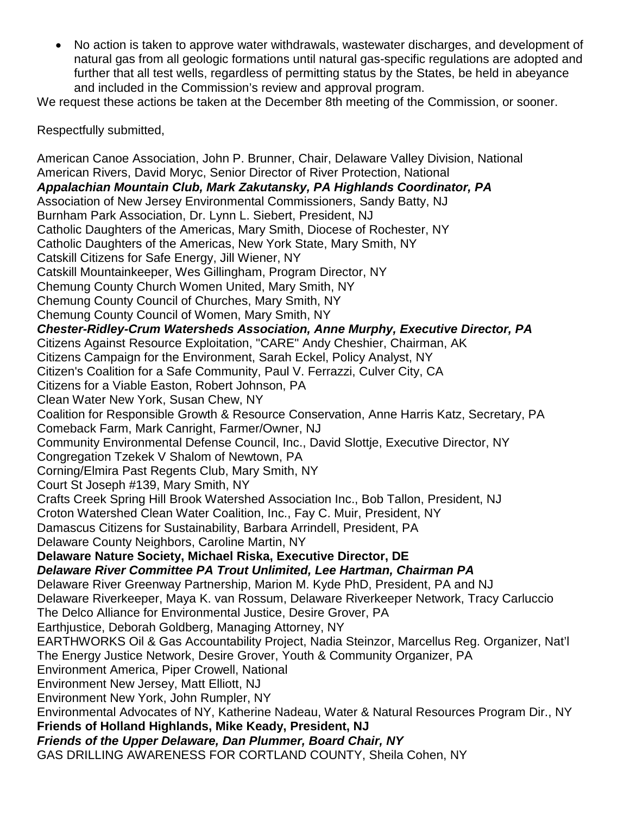• No action is taken to approve water withdrawals, wastewater discharges, and development of natural gas from all geologic formations until natural gas-specific regulations are adopted and further that all test wells, regardless of permitting status by the States, be held in abeyance and included in the Commission's review and approval program.

We request these actions be taken at the December 8th meeting of the Commission, or sooner.

Respectfully submitted,

American Canoe Association, John P. Brunner, Chair, Delaware Valley Division, National American Rivers, David Moryc, Senior Director of River Protection, National *Appalachian Mountain Club, Mark Zakutansky, PA Highlands Coordinator, PA* Association of New Jersey Environmental Commissioners, Sandy Batty, NJ Burnham Park Association, Dr. Lynn L. Siebert, President, NJ Catholic Daughters of the Americas, Mary Smith, Diocese of Rochester, NY Catholic Daughters of the Americas, New York State, Mary Smith, NY Catskill Citizens for Safe Energy, Jill Wiener, NY Catskill Mountainkeeper, Wes Gillingham, Program Director, NY Chemung County Church Women United, Mary Smith, NY Chemung County Council of Churches, Mary Smith, NY Chemung County Council of Women, Mary Smith, NY *Chester-Ridley-Crum Watersheds Association, Anne Murphy, Executive Director, PA* Citizens Against Resource Exploitation, "CARE" Andy Cheshier, Chairman, AK Citizens Campaign for the Environment, Sarah Eckel, Policy Analyst, NY Citizen's Coalition for a Safe Community, Paul V. Ferrazzi, Culver City, CA Citizens for a Viable Easton, Robert Johnson, PA Clean Water New York, Susan Chew, NY Coalition for Responsible Growth & Resource Conservation, Anne Harris Katz, Secretary, PA Comeback Farm, Mark Canright, Farmer/Owner, NJ Community Environmental Defense Council, Inc., David Slottje, Executive Director, NY Congregation Tzekek V Shalom of Newtown, PA Corning/Elmira Past Regents Club, Mary Smith, NY Court St Joseph #139, Mary Smith, NY Crafts Creek Spring Hill Brook Watershed Association Inc., Bob Tallon, President, NJ Croton Watershed Clean Water Coalition, Inc., Fay C. Muir, President, NY Damascus Citizens for Sustainability, Barbara Arrindell, President, PA Delaware County Neighbors, Caroline Martin, NY **Delaware Nature Society, Michael Riska, Executive Director, DE** *Delaware River Committee PA Trout Unlimited, Lee Hartman, Chairman PA* Delaware River Greenway Partnership, Marion M. Kyde PhD, President, PA and NJ Delaware Riverkeeper, Maya K. van Rossum, Delaware Riverkeeper Network, Tracy Carluccio The Delco Alliance for Environmental Justice, Desire Grover, PA Earthjustice, Deborah Goldberg, Managing Attorney, NY EARTHWORKS Oil & Gas Accountability Project, Nadia Steinzor, Marcellus Reg. Organizer, Nat'l The Energy Justice Network, Desire Grover, Youth & Community Organizer, PA Environment America, Piper Crowell, National Environment New Jersey, Matt Elliott, NJ Environment New York, John Rumpler, NY Environmental Advocates of NY, Katherine Nadeau, Water & Natural Resources Program Dir., NY **Friends of Holland Highlands, Mike Keady, President, NJ** *Friends of the Upper Delaware, Dan Plummer, Board Chair, NY* GAS DRILLING AWARENESS FOR CORTLAND COUNTY, Sheila Cohen, NY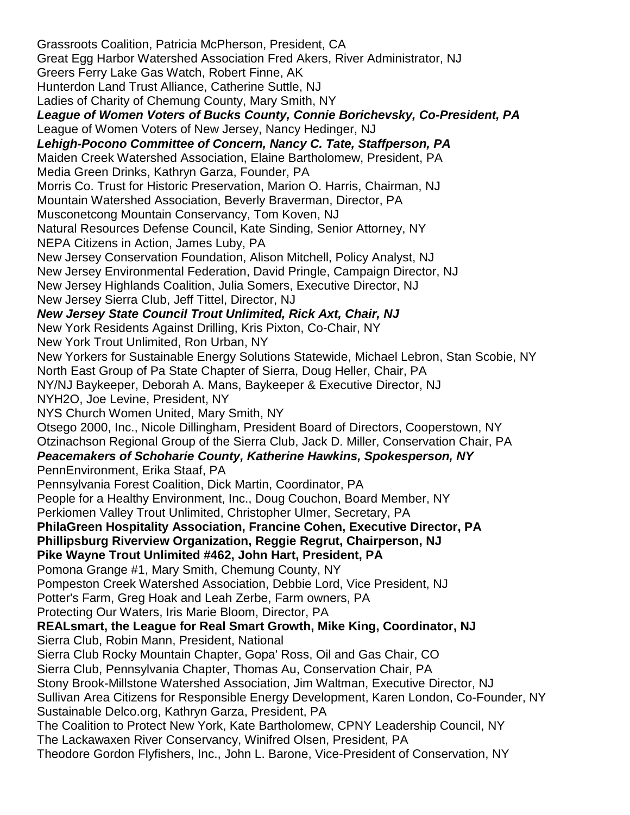Grassroots Coalition, Patricia McPherson, President, CA Great Egg Harbor Watershed Association Fred Akers, River Administrator, NJ Greers Ferry Lake Gas Watch, Robert Finne, AK Hunterdon Land Trust Alliance, Catherine Suttle, NJ Ladies of Charity of Chemung County, Mary Smith, NY *League of Women Voters of Bucks County, Connie Borichevsky, Co-President, PA* League of Women Voters of New Jersey, Nancy Hedinger, NJ *Lehigh-Pocono Committee of Concern, Nancy C. Tate, Staffperson, PA* Maiden Creek Watershed Association, Elaine Bartholomew, President, PA Media Green Drinks, Kathryn Garza, Founder, PA Morris Co. Trust for Historic Preservation, Marion O. Harris, Chairman, NJ Mountain Watershed Association, Beverly Braverman, Director, PA Musconetcong Mountain Conservancy, Tom Koven, NJ Natural Resources Defense Council, Kate Sinding, Senior Attorney, NY NEPA Citizens in Action, James Luby, PA New Jersey Conservation Foundation, Alison Mitchell, Policy Analyst, NJ New Jersey Environmental Federation, David Pringle, Campaign Director, NJ New Jersey Highlands Coalition, Julia Somers, Executive Director, NJ New Jersey Sierra Club, Jeff Tittel, Director, NJ *New Jersey State Council Trout Unlimited, Rick Axt, Chair, NJ* New York Residents Against Drilling, Kris Pixton, Co-Chair, NY New York Trout Unlimited, Ron Urban, NY New Yorkers for Sustainable Energy Solutions Statewide, Michael Lebron, Stan Scobie, NY North East Group of Pa State Chapter of Sierra, Doug Heller, Chair, PA NY/NJ Baykeeper, Deborah A. Mans, Baykeeper & Executive Director, NJ NYH2O, Joe Levine, President, NY NYS Church Women United, Mary Smith, NY Otsego 2000, Inc., Nicole Dillingham, President Board of Directors, Cooperstown, NY Otzinachson Regional Group of the Sierra Club, Jack D. Miller, Conservation Chair, PA *Peacemakers of Schoharie County, Katherine Hawkins, Spokesperson, NY* PennEnvironment, Erika Staaf, PA Pennsylvania Forest Coalition, Dick Martin, Coordinator, PA People for a Healthy Environment, Inc., Doug Couchon, Board Member, NY Perkiomen Valley Trout Unlimited, Christopher Ulmer, Secretary, PA **PhilaGreen Hospitality Association, Francine Cohen, Executive Director, PA Phillipsburg Riverview Organization, Reggie Regrut, Chairperson, NJ Pike Wayne Trout Unlimited #462, John Hart, President, PA** Pomona Grange #1, Mary Smith, Chemung County, NY Pompeston Creek Watershed Association, Debbie Lord, Vice President, NJ Potter's Farm, Greg Hoak and Leah Zerbe, Farm owners, PA Protecting Our Waters, Iris Marie Bloom, Director, PA **REALsmart, the League for Real Smart Growth, Mike King, Coordinator, NJ** Sierra Club, Robin Mann, President, National Sierra Club Rocky Mountain Chapter, Gopa' Ross, Oil and Gas Chair, CO Sierra Club, Pennsylvania Chapter, Thomas Au, Conservation Chair, PA Stony Brook-Millstone Watershed Association, Jim Waltman, Executive Director, NJ Sullivan Area Citizens for Responsible Energy Development, Karen London, Co-Founder, NY Sustainable Delco.org, Kathryn Garza, President, PA The Coalition to Protect New York, Kate Bartholomew, CPNY Leadership Council, NY The Lackawaxen River Conservancy, Winifred Olsen, President, PA Theodore Gordon Flyfishers, Inc., John L. Barone, Vice-President of Conservation, NY